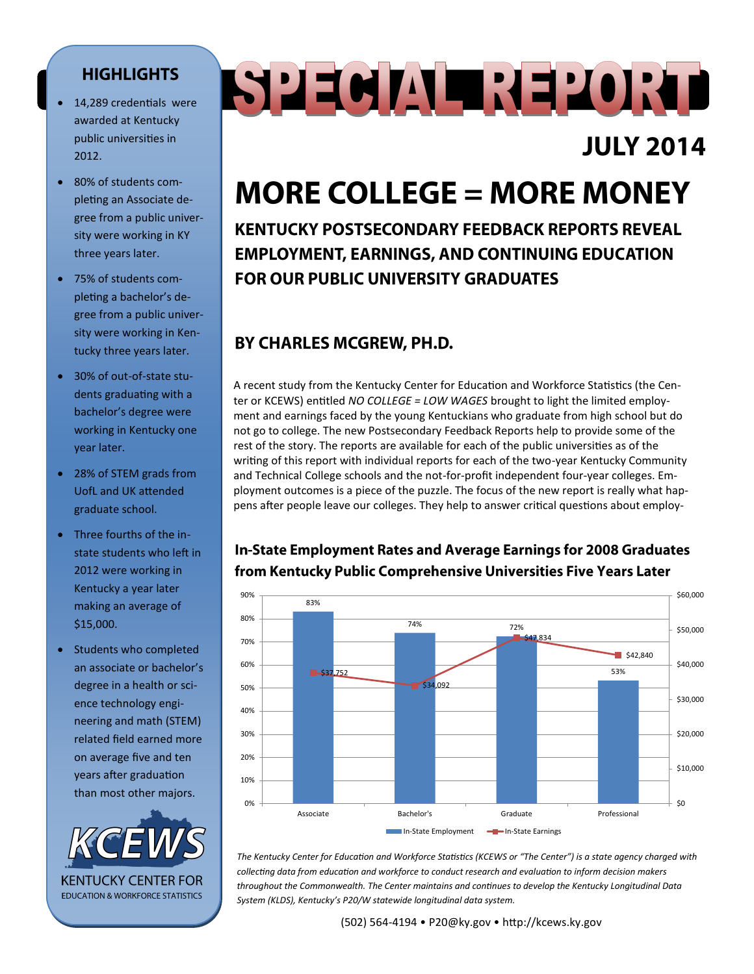#### **HIGHLIGHTS**

- 14,289 credentials were awarded at Kentucky public universities in 2012.
- 80% of students completing an Associate degree from a public university were working in KY three years later.
- 75% of students completing a bachelor's degree from a public university were working in Kentucky three years later.
- 30% of out-of-state students graduating with a bachelor's degree were working in Kentucky one year later.
- 28% of STEM grads from UofL and UK attended graduate school.
- Three fourths of the instate students who left in 2012 were working in Kentucky a year later making an average of \$15,000.
- Students who completed an associate or bachelor's degree in a health or science technology engineering and math (STEM) related field earned more on average five and ten years after graduation than most other majors.



# SPECIAL REPORT

## **JULY 2014**

## **MORE COLLEGE = MORE MONEY**

**KENTUCKY POSTSECONDARY FEEDBACK REPORTS REVEAL EMPLOYMENT, EARNINGS, AND CONTINUING EDUCATION FOR OUR PUBLIC UNIVERSITY GRADUATES** 

#### BY CHARLES MCGREW, PH.D.

A recent study from the Kentucky Center for Education and Workforce Statistics (the Center or KCEWS) entitled *NO COLLEGE = LOW WAGES* brought to light the limited employment and earnings faced by the young Kentuckians who graduate from high school but do not go to college. The new Postsecondary Feedback Reports help to provide some of the rest of the story. The reports are available for each of the public universities as of the writing of this report with individual reports for each of the two-year Kentucky Community and Technical College schools and the not-for-profit independent four-year colleges. Employment outcomes is a piece of the puzzle. The focus of the new report is really what happens after people leave our colleges. They help to answer critical questions about employ-

#### 83% 74% 72% \$37,752 53% 53% \$34,092 \$47,834  $$42,840$  $$0$ \$10,000 \$20,000 \$30,000 \$40,000 \$50,000 \$60,000 0% 10% 20% 30% 40% 50% 60% 70% 80% 90% Associate Bachelor's Graduate Professional In-State Employment - In-State Earnings

*The Kentucky Center for Education and Workforce Statistics (KCEWS or "The Center") is a state agency charged with collecting data from education and workforce to conduct research and evaluation to inform decision makers throughout the Commonwealth. The Center maintains and continues to develop the Kentucky Longitudinal Data System (KLDS), Kentucky's P20/W statewide longitudinal data system.*

#### In-State Employment Rates and Average Earnings for 2008 Graduates from Kentucky Public Comprehensive Universities Five Years Later

(502) 564-4194 • P20@ky.gov • http://kcews.ky.gov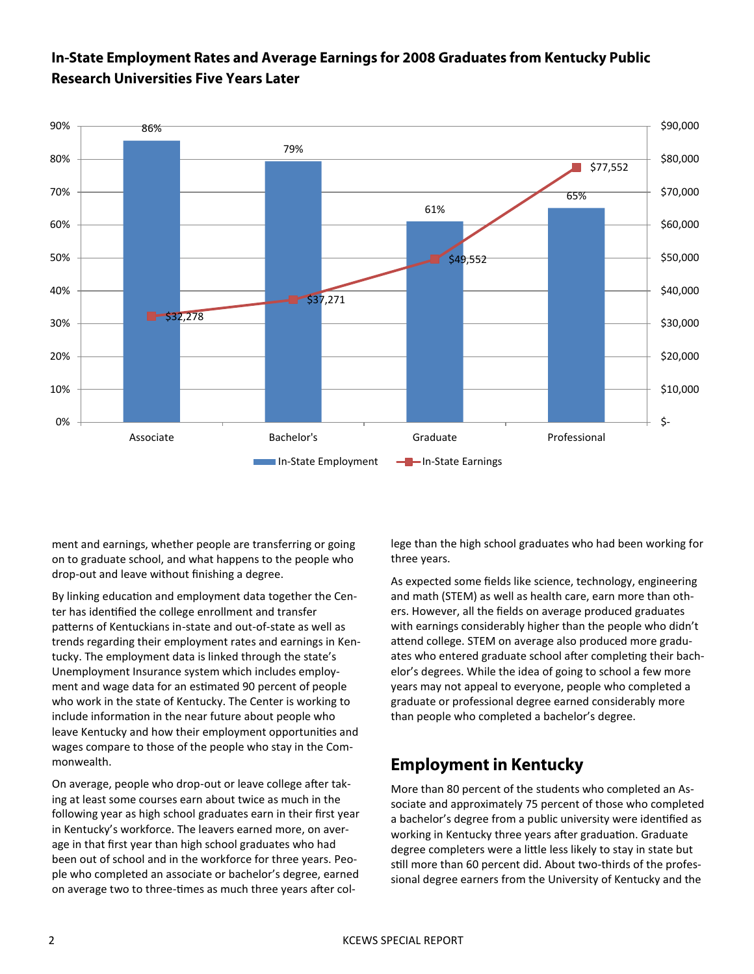#### In-State Employment Rates and Average Earnings for 2008 Graduates from Kentucky Public **Research Universities Five Years Later**



ment and earnings, whether people are transferring or going on to graduate school, and what happens to the people who drop-out and leave without finishing a degree.

By linking education and employment data together the Center has identified the college enrollment and transfer patterns of Kentuckians in-state and out-of-state as well as trends regarding their employment rates and earnings in Kentucky. The employment data is linked through the state's Unemployment Insurance system which includes employment and wage data for an estimated 90 percent of people who work in the state of Kentucky. The Center is working to include information in the near future about people who leave Kentucky and how their employment opportunities and wages compare to those of the people who stay in the Commonwealth.

On average, people who drop-out or leave college after taking at least some courses earn about twice as much in the following year as high school graduates earn in their first year in Kentucky's workforce. The leavers earned more, on average in that first year than high school graduates who had been out of school and in the workforce for three years. People who completed an associate or bachelor's degree, earned on average two to three-times as much three years after college than the high school graduates who had been working for three years.

As expected some fields like science, technology, engineering and math (STEM) as well as health care, earn more than others. However, all the fields on average produced graduates with earnings considerably higher than the people who didn't attend college. STEM on average also produced more graduates who entered graduate school after completing their bachelor's degrees. While the idea of going to school a few more years may not appeal to everyone, people who completed a graduate or professional degree earned considerably more than people who completed a bachelor's degree.

#### **Employment in Kentucky**

More than 80 percent of the students who completed an Associate and approximately 75 percent of those who completed a bachelor's degree from a public university were identified as working in Kentucky three years after graduation. Graduate degree completers were a little less likely to stay in state but still more than 60 percent did. About two-thirds of the professional degree earners from the University of Kentucky and the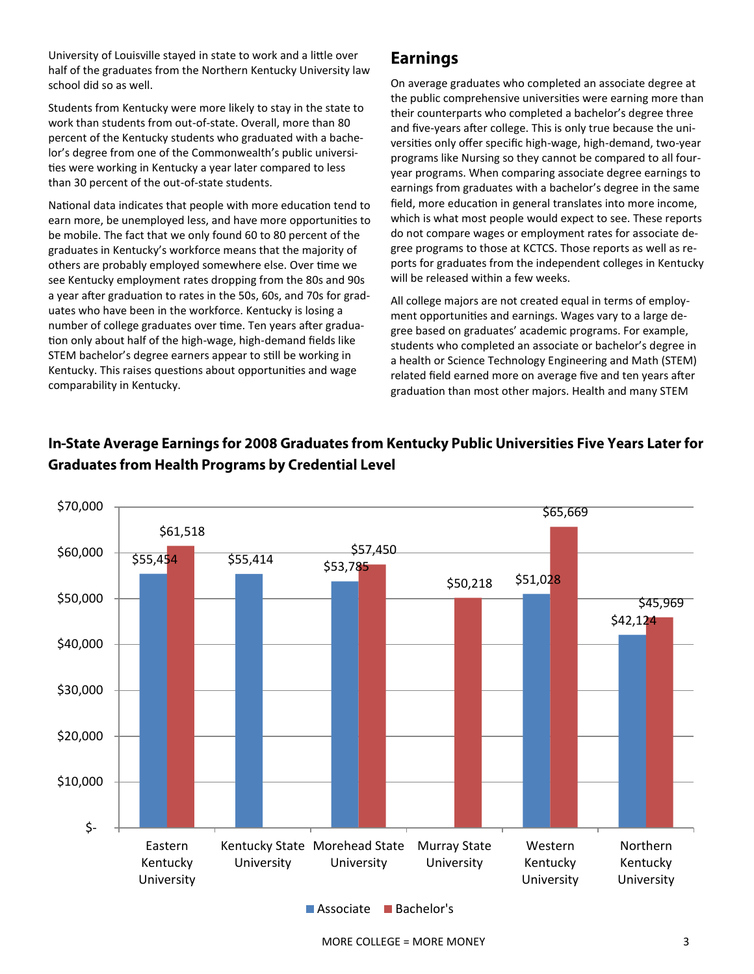University of Louisville stayed in state to work and a little over half of the graduates from the Northern Kentucky University law school did so as well.

Students from Kentucky were more likely to stay in the state to work than students from out-of-state. Overall, more than 80 percent of the Kentucky students who graduated with a bachelor's degree from one of the Commonwealth's public universities were working in Kentucky a year later compared to less than 30 percent of the out-of-state students.

National data indicates that people with more education tend to earn more, be unemployed less, and have more opportunities to be mobile. The fact that we only found 60 to 80 percent of the graduates in Kentucky's workforce means that the majority of others are probably employed somewhere else. Over time we see Kentucky employment rates dropping from the 80s and 90s a year after graduation to rates in the 50s, 60s, and 70s for graduates who have been in the workforce. Kentucky is losing a number of college graduates over time. Ten years after graduation only about half of the high-wage, high-demand fields like STEM bachelor's degree earners appear to still be working in Kentucky. This raises questions about opportunities and wage comparability in Kentucky.

#### **Earnings**

On average graduates who completed an associate degree at the public comprehensive universities were earning more than their counterparts who completed a bachelor's degree three and five-years after college. This is only true because the universities only offer specific high-wage, high-demand, two-year programs like Nursing so they cannot be compared to all fouryear programs. When comparing associate degree earnings to earnings from graduates with a bachelor's degree in the same field, more education in general translates into more income, which is what most people would expect to see. These reports do not compare wages or employment rates for associate degree programs to those at KCTCS. Those reports as well as reports for graduates from the independent colleges in Kentucky will be released within a few weeks.

All college majors are not created equal in terms of employment opportunities and earnings. Wages vary to a large degree based on graduates' academic programs. For example, students who completed an associate or bachelor's degree in a health or Science Technology Engineering and Math (STEM) related field earned more on average five and ten years after graduation than most other majors. Health and many STEM



#### In-State Average Earnings for 2008 Graduates from Kentucky Public Universities Five Years Later for **Graduates from Health Programs by Credential Level**